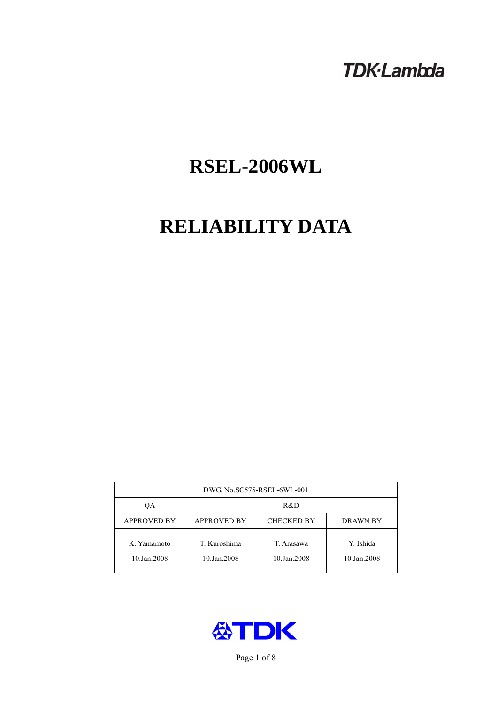## **TDK-Lambda**

# **RSEL-2006WL**

## **RELIABILITY DATA**

| DWG. No.SC575-RSEL-6WL-001 |                                                     |                           |                          |  |  |
|----------------------------|-----------------------------------------------------|---------------------------|--------------------------|--|--|
| OА                         | R&D                                                 |                           |                          |  |  |
| <b>APPROVED BY</b>         | <b>APPROVED BY</b><br><b>CHECKED BY</b><br>DRAWN BY |                           |                          |  |  |
| K. Yamamoto<br>10.Jan.2008 | T. Kuroshima<br>10.Jan.2008                         | T. Arasawa<br>10.Jan.2008 | Y. Ishida<br>10.Jan.2008 |  |  |



Page 1 of 8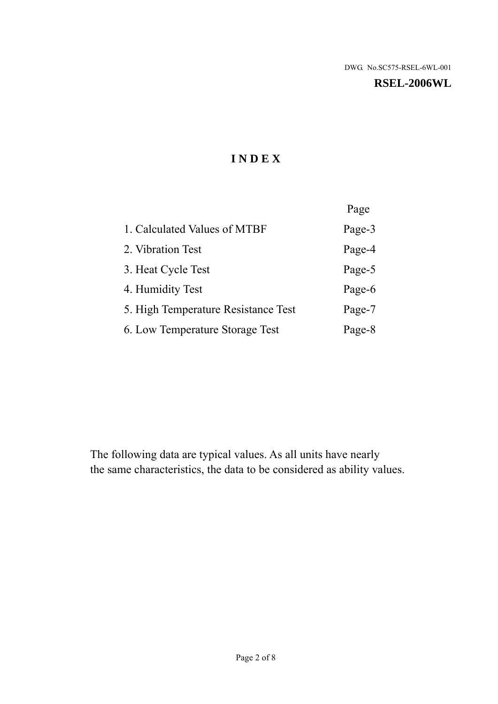#### **RSEL-2006WL**

## **I N D E X**

|                                     | Page   |
|-------------------------------------|--------|
| 1. Calculated Values of MTBF        | Page-3 |
| 2. Vibration Test                   | Page-4 |
| 3. Heat Cycle Test                  | Page-5 |
| 4. Humidity Test                    | Page-6 |
| 5. High Temperature Resistance Test | Page-7 |
| 6. Low Temperature Storage Test     | Page-8 |

The following data are typical values. As all units have nearly the same characteristics, the data to be considered as ability values.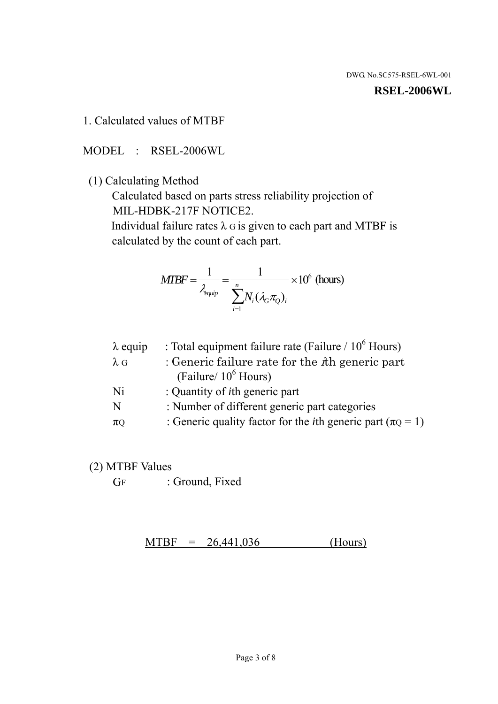**RSEL-2006WL** 

1. Calculated values of MTBF

MODEL : RSEL-2006WL

(1) Calculating Method

 Calculated based on parts stress reliability projection of MIL-HDBK-217F NOTICE2.

Individual failure rates  $\lambda$  G is given to each part and MTBF is calculated by the count of each part.

$$
MTBF = \frac{1}{\lambda_{\text{equip}}} = \frac{1}{\sum_{i=1}^{n} N_i (\lambda_G \pi_Q)_i} \times 10^6 \text{ (hours)}
$$

| $\lambda$ equip | : Total equipment failure rate (Failure / $10^6$ Hours)                   |
|-----------------|---------------------------------------------------------------------------|
| $\lambda$ G     | : Generic failure rate for the $\hbar$ generic part                       |
|                 | (Failure/ $10^6$ Hours)                                                   |
| Ni              | : Quantity of <i>i</i> th generic part                                    |
| N               | : Number of different generic part categories                             |
| $\pi Q$         | : Generic quality factor for the <i>i</i> th generic part ( $\pi Q = 1$ ) |
|                 |                                                                           |

- (2) MTBF Values
	- GF : Ground, Fixed

 $MTBF = 26,441,036$  (Hours)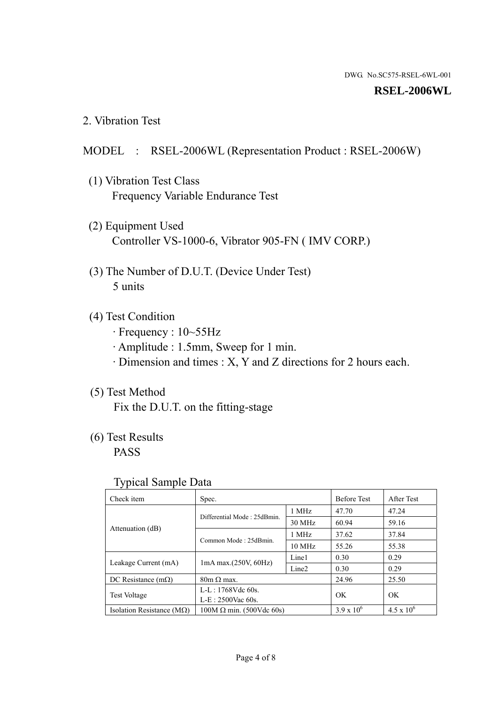#### **RSEL-2006WL**

2. Vibration Test

#### MODEL : RSEL-2006WL (Representation Product : RSEL-2006W)

- (1) Vibration Test Class Frequency Variable Endurance Test
- (2) Equipment Used Controller VS-1000-6, Vibrator 905-FN ( IMV CORP.)
- (3) The Number of D.U.T. (Device Under Test) 5 units
- (4) Test Condition
	- · Frequency : 10~55Hz
	- · Amplitude : 1.5mm, Sweep for 1 min.
	- · Dimension and times : X, Y and Z directions for 2 hours each.

#### (5) Test Method

Fix the D.U.T. on the fitting-stage

## (6) Test Results

PASS

#### Typical Sample Data

| . .                                |                                                         |                  |                     |                     |
|------------------------------------|---------------------------------------------------------|------------------|---------------------|---------------------|
| Check item                         | Spec.                                                   |                  | <b>Before Test</b>  | After Test          |
|                                    | Differential Mode: 25dBmin.                             | 1 MHz            | 47.70               | 47.24               |
|                                    |                                                         | 30 MHz           | 60.94               | 59.16               |
| Attenuation (dB)                   | Common Mode: 25dBmin.                                   | 1 MHz            | 37.62               | 37.84               |
|                                    |                                                         | $10 \text{ MHz}$ | 55.26               | 55.38               |
| Leakage Current (mA)               | Line1<br>$1mA$ max. $(250V, 60Hz)$<br>Line <sub>2</sub> |                  | 0.30                | 0.29                |
|                                    |                                                         |                  | 0.30                | 0.29                |
| DC Resistance $(m\Omega)$          | $80m \Omega$ max.                                       |                  | 24.96               | 25.50               |
| <b>Test Voltage</b>                | $L-L: 1768Vdc$ 60s.                                     |                  | OK                  | OK.                 |
|                                    | $L-E$ : 2500Vac 60s.                                    |                  |                     |                     |
| Isolation Resistance ( $M\Omega$ ) | $100M \Omega$ min. (500Vdc 60s)                         |                  | $3.9 \times 10^{6}$ | $4.5 \times 10^{6}$ |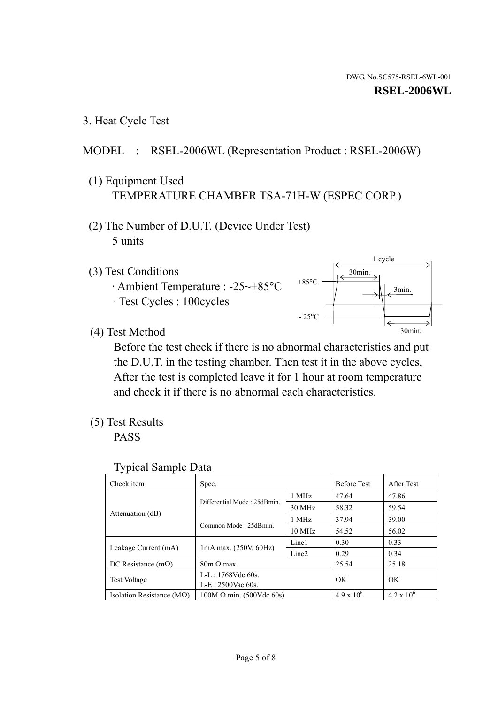3. Heat Cycle Test

## MODEL : RSEL-2006WL (Representation Product : RSEL-2006W)

- (1) Equipment Used TEMPERATURE CHAMBER TSA-71H-W (ESPEC CORP.)
- (2) The Number of D.U.T. (Device Under Test) 5 units
- (3) Test Conditions
	- · Ambient Temperature : -25~+85°C · Test Cycles : 100cycles



(4) Test Method

 Before the test check if there is no abnormal characteristics and put the D.U.T. in the testing chamber. Then test it in the above cycles, After the test is completed leave it for 1 hour at room temperature and check it if there is no abnormal each characteristics.

(5) Test Results

PASS

| <b>Typical Sample Data</b> |  |  |
|----------------------------|--|--|
|----------------------------|--|--|

| Check item                    | Spec.                           |                   | <b>Before Test</b> | After Test          |
|-------------------------------|---------------------------------|-------------------|--------------------|---------------------|
|                               | Differential Mode: 25dBmin.     | 1 MHz             | 47.64              | 47.86               |
|                               |                                 | 30 MHz            | 58.32              | 59.54               |
| Attenuation (dB)              | Common Mode: 25dBmin.           | 1 MHz             | 37.94              | 39.00               |
|                               |                                 | $10 \text{ MHz}$  | 54.52              | 56.02               |
|                               | $1mA$ max. $(250V, 60Hz)$       | Line1             | 0.30               | 0.33                |
| Leakage Current (mA)          |                                 | Line <sub>2</sub> | 0.29               | 0.34                |
| DC Resistance $(m\Omega)$     | $80m \Omega$ max.               |                   | 25.54              | 25.18               |
| <b>Test Voltage</b>           | L-L: 1768Vdc 60s.               |                   | OK                 | OK                  |
| $L-E: 2500$ Vac 60s.          |                                 |                   |                    |                     |
| Isolation Resistance ( $MQ$ ) | $100M \Omega$ min. (500Vdc 60s) |                   | $4.9 \times 10^6$  | $4.2 \times 10^{6}$ |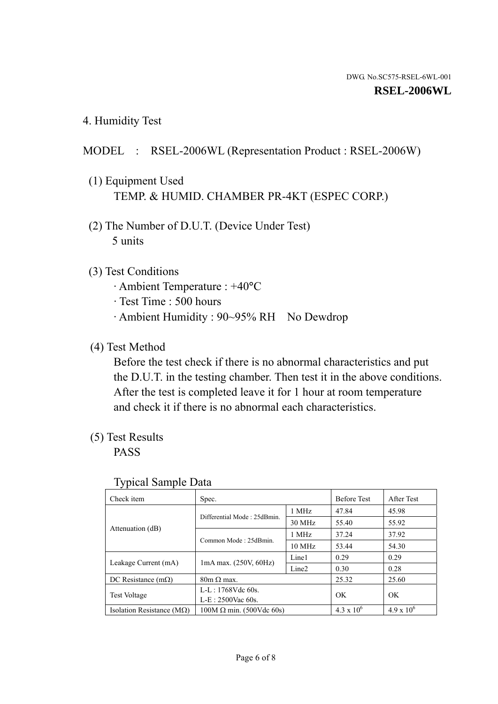4. Humidity Test

## MODEL : RSEL-2006WL (Representation Product : RSEL-2006W)

- (1) Equipment Used TEMP. & HUMID. CHAMBER PR-4KT (ESPEC CORP.)
- (2) The Number of D.U.T. (Device Under Test) 5 units

#### (3) Test Conditions

- · Ambient Temperature : +40°C
- · Test Time : 500 hours
- · Ambient Humidity : 90~95% RH No Dewdrop

## (4) Test Method

 Before the test check if there is no abnormal characteristics and put the D.U.T. in the testing chamber. Then test it in the above conditions. After the test is completed leave it for 1 hour at room temperature and check it if there is no abnormal each characteristics.

## (5) Test Results

PASS

| . .                                |                                 |                   |                     |                     |
|------------------------------------|---------------------------------|-------------------|---------------------|---------------------|
| Check item                         | Spec.                           |                   | <b>Before Test</b>  | After Test          |
|                                    | Differential Mode: 25dBmin.     | 1 MHz             | 47.84               | 45.98               |
|                                    |                                 | 30 MHz            | 55.40               | 55.92               |
| Attenuation (dB)                   | Common Mode: 25dBmin.           | 1 MHz             | 37.24               | 37.92               |
|                                    |                                 | $10 \text{ MHz}$  | 53.44               | 54.30               |
| Leakage Current (mA)               | $1mA$ max. $(250V, 60Hz)$       | Line1             | 0.29                | 0.29                |
|                                    |                                 | Line <sub>2</sub> | 0.30                | 0.28                |
| DC Resistance $(m\Omega)$          | $80m \Omega$ max.               |                   | 25.32               | 25.60               |
| <b>Test Voltage</b>                | $L-L: 1768Vdc$ 60s.             |                   | OK                  | OK                  |
|                                    | $L-E: 2500$ Vac 60s.            |                   |                     |                     |
| Isolation Resistance ( $M\Omega$ ) | $100M \Omega$ min. (500Vdc 60s) |                   | $4.3 \times 10^{6}$ | $4.9 \times 10^{6}$ |

#### Typical Sample Data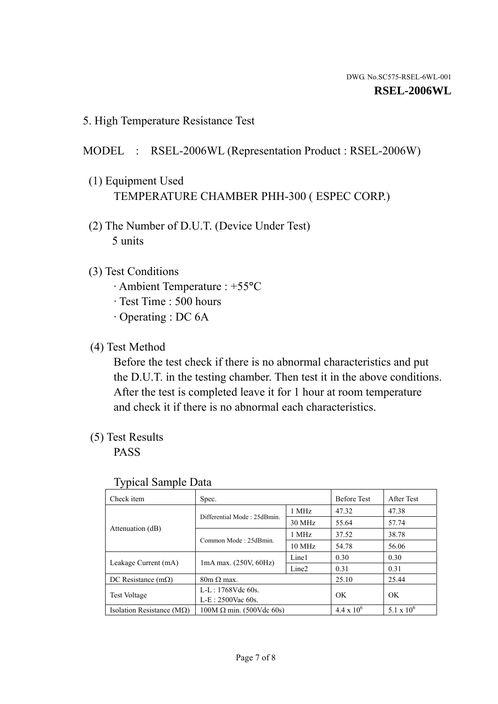5. High Temperature Resistance Test

### MODEL : RSEL-2006WL (Representation Product : RSEL-2006W)

- (1) Equipment Used TEMPERATURE CHAMBER PHH-300 ( ESPEC CORP.)
- (2) The Number of D.U.T. (Device Under Test) 5 units
- (3) Test Conditions
	- · Ambient Temperature : +55°C
	- · Test Time : 500 hours
	- · Operating : DC 6A
- (4) Test Method

 Before the test check if there is no abnormal characteristics and put the D.U.T. in the testing chamber. Then test it in the above conditions. After the test is completed leave it for 1 hour at room temperature and check it if there is no abnormal each characteristics.

(5) Test Results

PASS

| ╯┸                                 |                                                         |        |                     |                     |
|------------------------------------|---------------------------------------------------------|--------|---------------------|---------------------|
| Check item                         | Spec.                                                   |        | <b>Before Test</b>  | After Test          |
| Attenuation (dB)                   | Differential Mode: 25dBmin.                             | 1 MHz  | 47.32               | 47.38               |
|                                    |                                                         | 30 MHz | 55.64               | 57.74               |
|                                    | Common Mode: 25dBmin.                                   | 1 MHz  | 37.52               | 38.78               |
|                                    |                                                         | 10 MHz | 54.78               | 56.06               |
| Leakage Current (mA)               | Line1<br>$1mA$ max. $(250V, 60Hz)$<br>Line <sub>2</sub> |        | 0.30                | 0.30                |
|                                    |                                                         |        | 0.31                | 0.31                |
| DC Resistance $(m\Omega)$          | $80m \Omega$ max.                                       |        | 25.10               | 25.44               |
| <b>Test Voltage</b>                | $L-L: 1768Vdc$ 60s.                                     |        | OK                  | OK                  |
|                                    | $L-E: 2500$ Vac 60s.                                    |        |                     |                     |
| Isolation Resistance ( $M\Omega$ ) | $100M \Omega$ min. (500Vdc 60s)                         |        | $4.4 \times 10^{6}$ | $5.1 \times 10^{6}$ |

#### Typical Sample Data